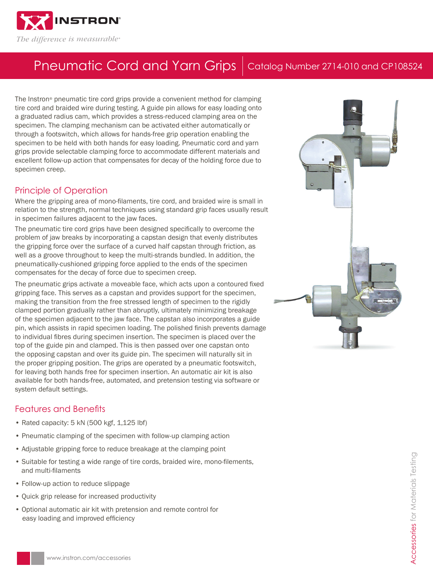

## Pneumatic Cord and Yarn Grips | Catalog Number 2714-010 and CP108524

The Instron® pneumatic tire cord grips provide a convenient method for clamping tire cord and braided wire during testing. A guide pin allows for easy loading onto a graduated radius cam, which provides a stress-reduced clamping area on the specimen. The clamping mechanism can be activated either automatically or through a footswitch, which allows for hands-free grip operation enabling the specimen to be held with both hands for easy loading. Pneumatic cord and yarn grips provide selectable clamping force to accommodate different materials and excellent follow-up action that compensates for decay of the holding force due to specimen creep.

### Principle of Operation

Where the gripping area of mono-filaments, tire cord, and braided wire is small in relation to the strength, normal techniques using standard grip faces usually result in specimen failures adjacent to the jaw faces.

The pneumatic tire cord grips have been designed specifically to overcome the problem of jaw breaks by incorporating a capstan design that evenly distributes the gripping force over the surface of a curved half capstan through friction, as well as a groove throughout to keep the multi-strands bundled. In addition, the pneumatically-cushioned gripping force applied to the ends of the specimen compensates for the decay of force due to specimen creep.

The pneumatic grips activate a moveable face, which acts upon a contoured fixed gripping face. This serves as a capstan and provides support for the specimen, making the transition from the free stressed length of specimen to the rigidly clamped portion gradually rather than abruptly, ultimately minimizing breakage of the specimen adjacent to the jaw face. The capstan also incorporates a guide pin, which assists in rapid specimen loading. The polished finish prevents damage to individual fibres during specimen insertion. The specimen is placed over the top of the guide pin and clamped. This is then passed over one capstan onto the opposing capstan and over its guide pin. The specimen will naturally sit in the proper gripping position. The grips are operated by a pneumatic footswitch, for leaving both hands free for specimen insertion. An automatic air kit is also available for both hands-free, automated, and pretension testing via software or system default settings.

## Features and Benefits

- Rated capacity: 5 kN (500 kgf, 1,125 lbf)
- Pneumatic clamping of the specimen with follow-up clamping action
- Adjustable gripping force to reduce breakage at the clamping point
- Suitable for testing a wide range of tire cords, braided wire, mono-filements, and multi-filaments
- Follow-up action to reduce slippage
- Quick grip release for increased productivity
- Optional automatic air kit with pretension and remote control for easy loading and improved efficiency